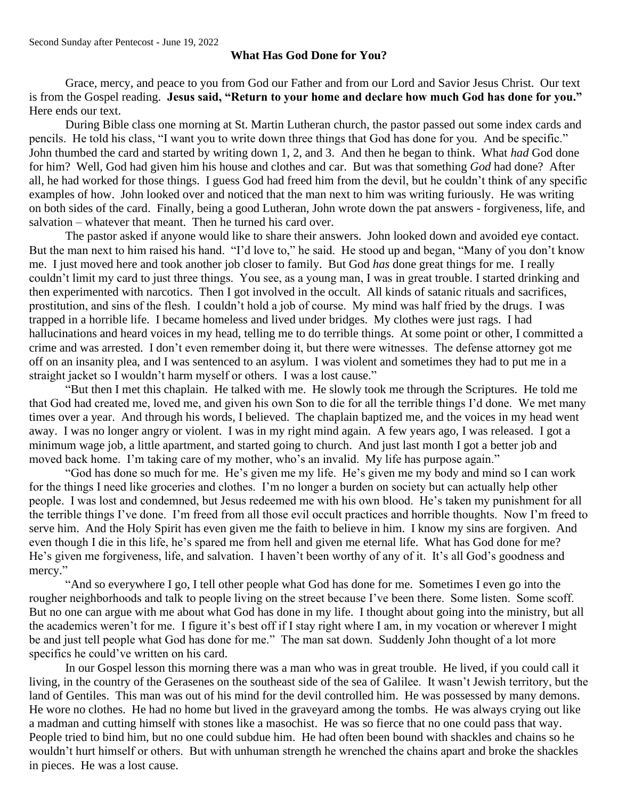## **What Has God Done for You?**

Grace, mercy, and peace to you from God our Father and from our Lord and Savior Jesus Christ. Our text is from the Gospel reading. **Jesus said, "Return to your home and declare how much God has done for you."** Here ends our text.

During Bible class one morning at St. Martin Lutheran church, the pastor passed out some index cards and pencils. He told his class, "I want you to write down three things that God has done for you. And be specific." John thumbed the card and started by writing down 1, 2, and 3. And then he began to think. What *had* God done for him? Well, God had given him his house and clothes and car. But was that something *God* had done? After all, he had worked for those things. I guess God had freed him from the devil, but he couldn't think of any specific examples of how. John looked over and noticed that the man next to him was writing furiously. He was writing on both sides of the card. Finally, being a good Lutheran, John wrote down the pat answers - forgiveness, life, and salvation – whatever that meant. Then he turned his card over.

The pastor asked if anyone would like to share their answers. John looked down and avoided eye contact. But the man next to him raised his hand. "I'd love to," he said. He stood up and began, "Many of you don't know me. I just moved here and took another job closer to family. But God *has* done great things for me. I really couldn't limit my card to just three things. You see, as a young man, I was in great trouble. I started drinking and then experimented with narcotics. Then I got involved in the occult. All kinds of satanic rituals and sacrifices, prostitution, and sins of the flesh. I couldn't hold a job of course. My mind was half fried by the drugs. I was trapped in a horrible life. I became homeless and lived under bridges. My clothes were just rags. I had hallucinations and heard voices in my head, telling me to do terrible things. At some point or other, I committed a crime and was arrested. I don't even remember doing it, but there were witnesses. The defense attorney got me off on an insanity plea, and I was sentenced to an asylum. I was violent and sometimes they had to put me in a straight jacket so I wouldn't harm myself or others. I was a lost cause."

"But then I met this chaplain. He talked with me. He slowly took me through the Scriptures. He told me that God had created me, loved me, and given his own Son to die for all the terrible things I'd done. We met many times over a year. And through his words, I believed. The chaplain baptized me, and the voices in my head went away. I was no longer angry or violent. I was in my right mind again. A few years ago, I was released. I got a minimum wage job, a little apartment, and started going to church. And just last month I got a better job and moved back home. I'm taking care of my mother, who's an invalid. My life has purpose again."

"God has done so much for me. He's given me my life. He's given me my body and mind so I can work for the things I need like groceries and clothes. I'm no longer a burden on society but can actually help other people. I was lost and condemned, but Jesus redeemed me with his own blood. He's taken my punishment for all the terrible things I've done. I'm freed from all those evil occult practices and horrible thoughts. Now I'm freed to serve him. And the Holy Spirit has even given me the faith to believe in him. I know my sins are forgiven. And even though I die in this life, he's spared me from hell and given me eternal life. What has God done for me? He's given me forgiveness, life, and salvation. I haven't been worthy of any of it. It's all God's goodness and mercy."

"And so everywhere I go, I tell other people what God has done for me. Sometimes I even go into the rougher neighborhoods and talk to people living on the street because I've been there. Some listen. Some scoff. But no one can argue with me about what God has done in my life. I thought about going into the ministry, but all the academics weren't for me. I figure it's best off if I stay right where I am, in my vocation or wherever I might be and just tell people what God has done for me." The man sat down. Suddenly John thought of a lot more specifics he could've written on his card.

In our Gospel lesson this morning there was a man who was in great trouble. He lived, if you could call it living, in the country of the Gerasenes on the southeast side of the sea of Galilee. It wasn't Jewish territory, but the land of Gentiles. This man was out of his mind for the devil controlled him. He was possessed by many demons. He wore no clothes. He had no home but lived in the graveyard among the tombs. He was always crying out like a madman and cutting himself with stones like a masochist. He was so fierce that no one could pass that way. People tried to bind him, but no one could subdue him. He had often been bound with shackles and chains so he wouldn't hurt himself or others. But with unhuman strength he wrenched the chains apart and broke the shackles in pieces. He was a lost cause.